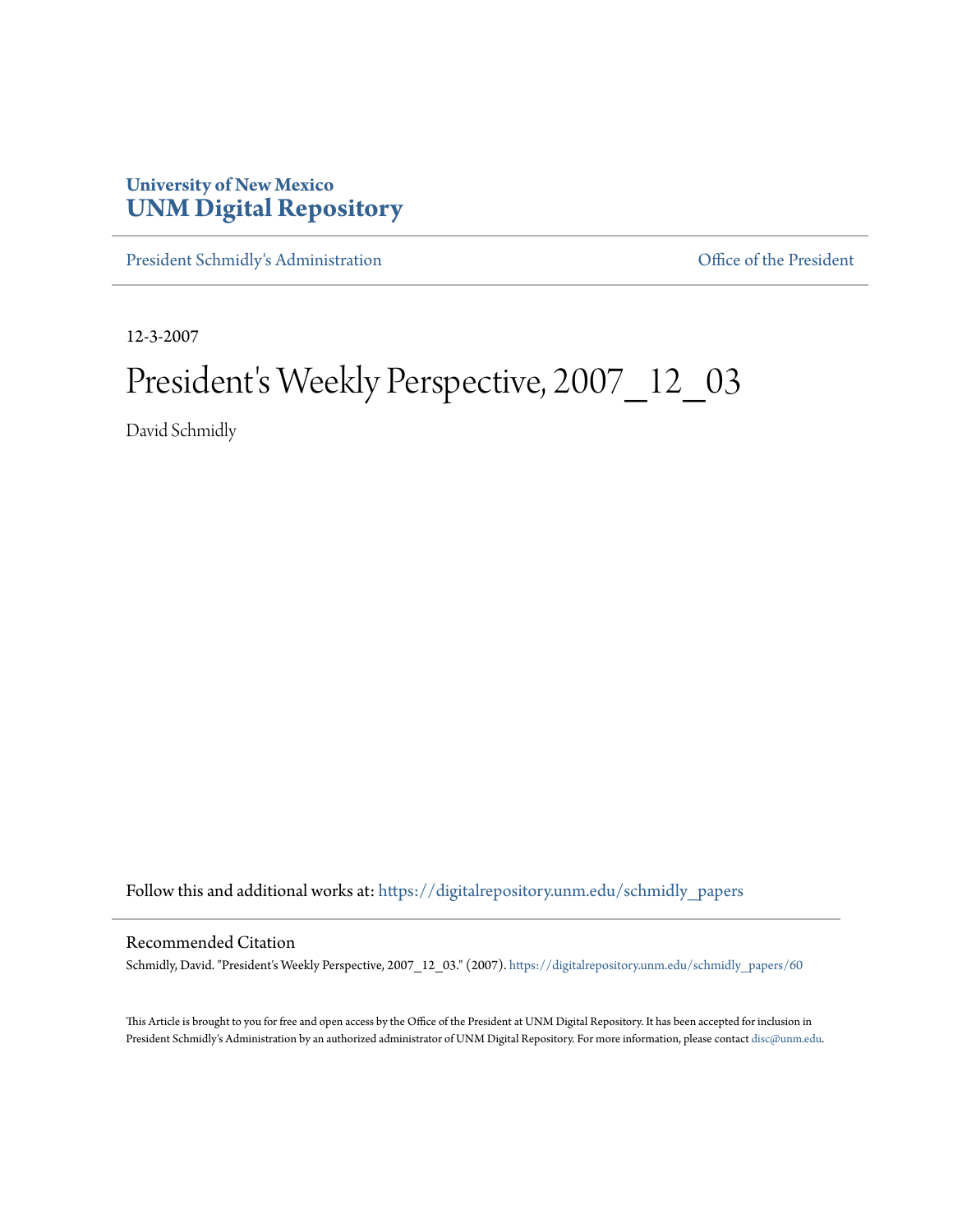## **University of New Mexico [UNM Digital Repository](https://digitalrepository.unm.edu?utm_source=digitalrepository.unm.edu%2Fschmidly_papers%2F60&utm_medium=PDF&utm_campaign=PDFCoverPages)**

[President Schmidly's Administration](https://digitalrepository.unm.edu/schmidly_papers?utm_source=digitalrepository.unm.edu%2Fschmidly_papers%2F60&utm_medium=PDF&utm_campaign=PDFCoverPages) [Office of the President](https://digitalrepository.unm.edu/ofc_president?utm_source=digitalrepository.unm.edu%2Fschmidly_papers%2F60&utm_medium=PDF&utm_campaign=PDFCoverPages)

12-3-2007

# President's Weekly Perspective, 2007\_12\_03

David Schmidly

Follow this and additional works at: [https://digitalrepository.unm.edu/schmidly\\_papers](https://digitalrepository.unm.edu/schmidly_papers?utm_source=digitalrepository.unm.edu%2Fschmidly_papers%2F60&utm_medium=PDF&utm_campaign=PDFCoverPages)

### Recommended Citation

Schmidly, David. "President's Weekly Perspective, 2007\_12\_03." (2007). [https://digitalrepository.unm.edu/schmidly\\_papers/60](https://digitalrepository.unm.edu/schmidly_papers/60?utm_source=digitalrepository.unm.edu%2Fschmidly_papers%2F60&utm_medium=PDF&utm_campaign=PDFCoverPages)

This Article is brought to you for free and open access by the Office of the President at UNM Digital Repository. It has been accepted for inclusion in President Schmidly's Administration by an authorized administrator of UNM Digital Repository. For more information, please contact [disc@unm.edu](mailto:disc@unm.edu).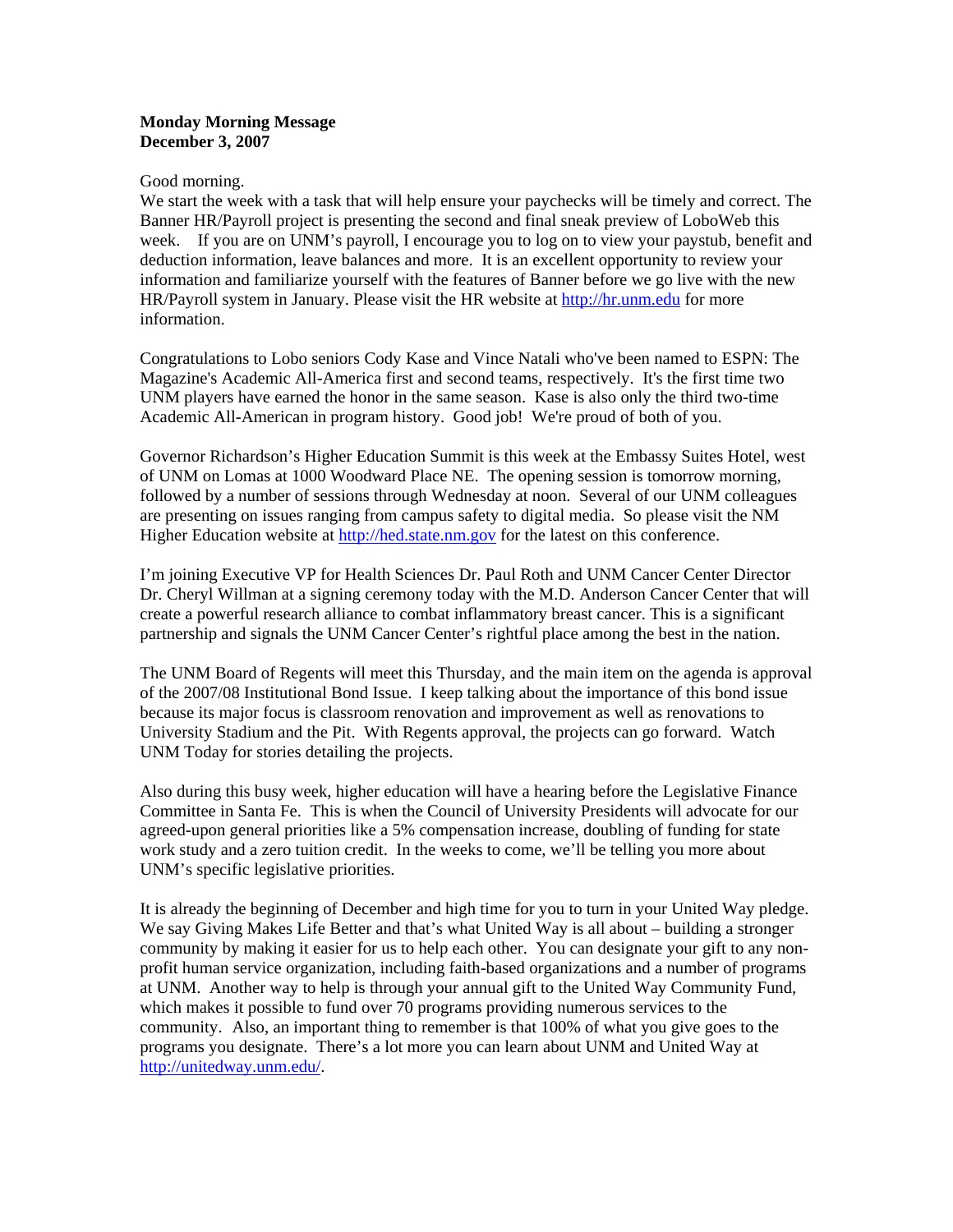### **Monday Morning Message December 3, 2007**

#### Good morning.

We start the week with a task that will help ensure your paychecks will be timely and correct. The Banner HR/Payroll project is presenting the second and final sneak preview of LoboWeb this week. If you are on UNM's payroll, I encourage you to log on to view your paystub, benefit and deduction information, leave balances and more. It is an excellent opportunity to review your information and familiarize yourself with the features of Banner before we go live with the new HR/Payroll system in January. Please visit the HR website at http://hr.unm.edu for more information.

Congratulations to Lobo seniors Cody Kase and Vince Natali who've been named to ESPN: The Magazine's Academic All-America first and second teams, respectively. It's the first time two UNM players have earned the honor in the same season. Kase is also only the third two-time Academic All-American in program history. Good job! We're proud of both of you.

Governor Richardson's Higher Education Summit is this week at the Embassy Suites Hotel, west of UNM on Lomas at 1000 Woodward Place NE. The opening session is tomorrow morning, followed by a number of sessions through Wednesday at noon. Several of our UNM colleagues are presenting on issues ranging from campus safety to digital media. So please visit the NM Higher Education website at [http://hed.state.nm.gov](http://hed.state.nm.gov/) for the latest on this conference.

I'm joining Executive VP for Health Sciences Dr. Paul Roth and UNM Cancer Center Director Dr. Cheryl Willman at a signing ceremony today with the M.D. Anderson Cancer Center that will create a powerful research alliance to combat inflammatory breast cancer. This is a significant partnership and signals the UNM Cancer Center's rightful place among the best in the nation.

The UNM Board of Regents will meet this Thursday, and the main item on the agenda is approval of the 2007/08 Institutional Bond Issue. I keep talking about the importance of this bond issue because its major focus is classroom renovation and improvement as well as renovations to University Stadium and the Pit. With Regents approval, the projects can go forward. Watch UNM Today for stories detailing the projects.

Also during this busy week, higher education will have a hearing before the Legislative Finance Committee in Santa Fe. This is when the Council of University Presidents will advocate for our agreed-upon general priorities like a 5% compensation increase, doubling of funding for state work study and a zero tuition credit. In the weeks to come, we'll be telling you more about UNM's specific legislative priorities.

It is already the beginning of December and high time for you to turn in your United Way pledge. We say Giving Makes Life Better and that's what United Way is all about – building a stronger community by making it easier for us to help each other. You can designate your gift to any nonprofit human service organization, including faith-based organizations and a number of programs at UNM. Another way to help is through your annual gift to the United Way Community Fund, which makes it possible to fund over 70 programs providing numerous services to the community. Also, an important thing to remember is that 100% of what you give goes to the programs you designate. There's a lot more you can learn about UNM and United Way at <http://unitedway.unm.edu/>.